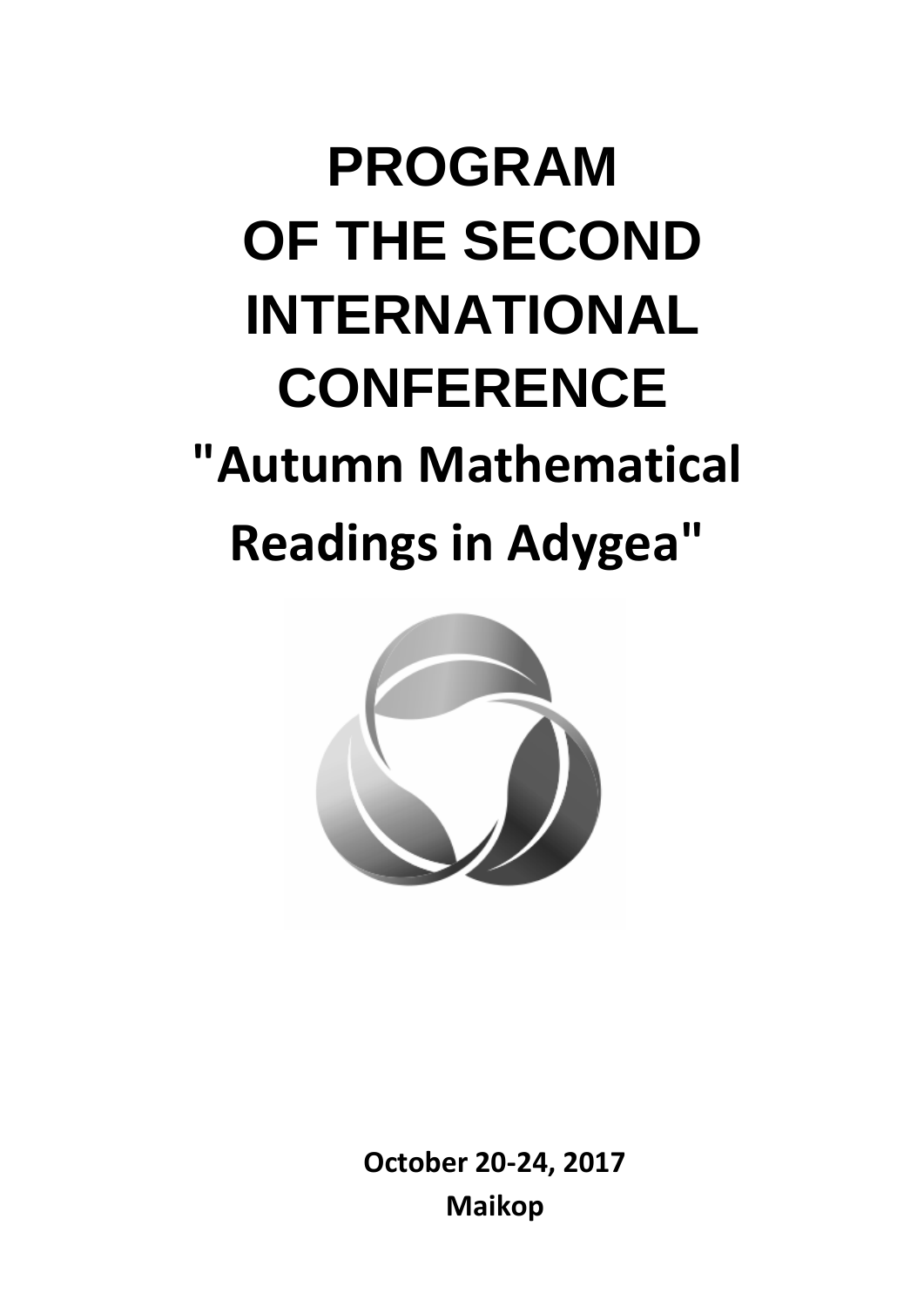# **PROGRAM OF THE SECOND INTERNATIONAL CONFERENCE "Autumn Mathematical Readings in Adygea"**



**October 20-24, 2017 Maikop**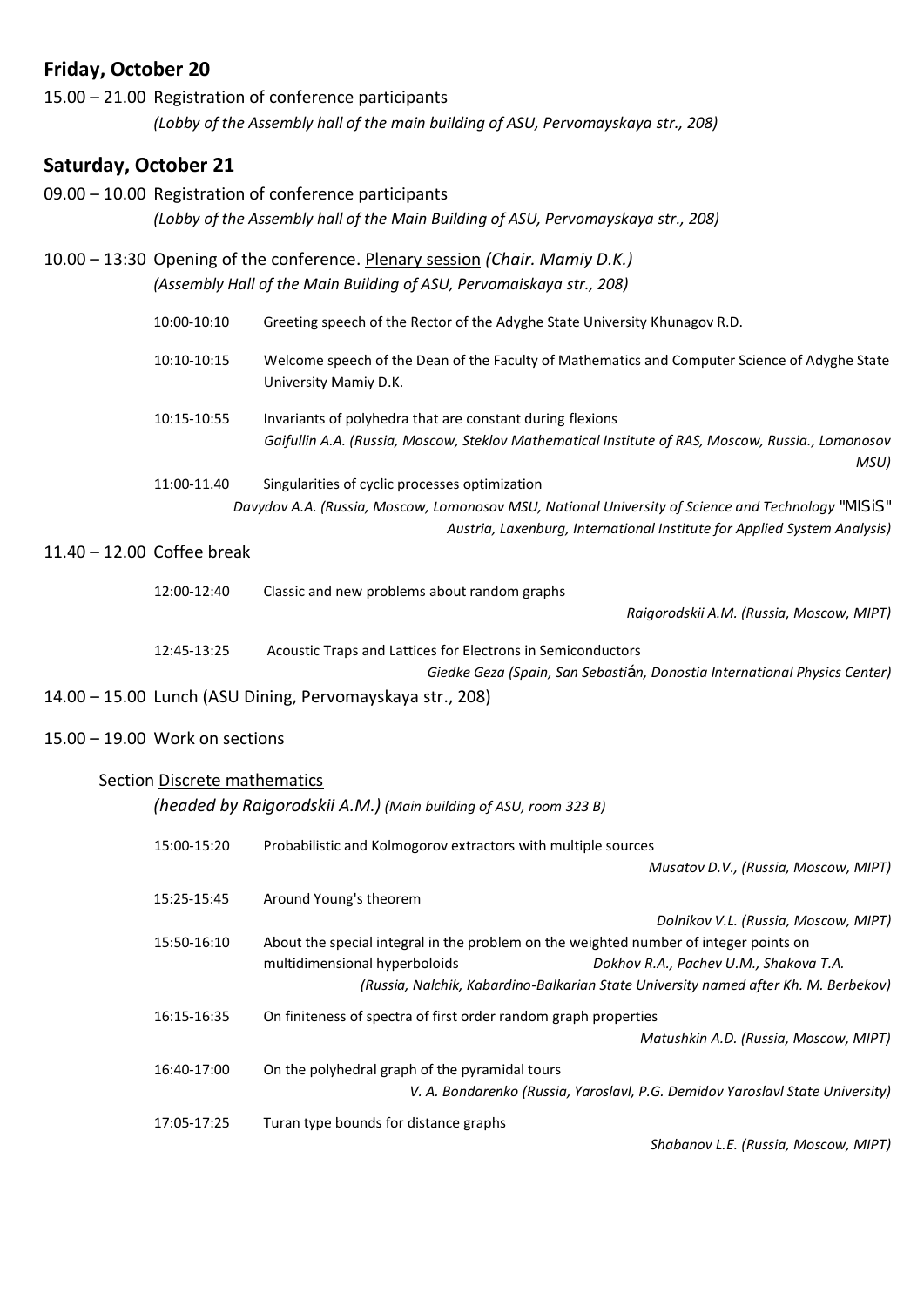## **Friday, October 20**

| 15.00 – 21.00 Registration of conference participants                             |
|-----------------------------------------------------------------------------------|
| (Lobby of the Assembly hall of the main building of ASU, Pervomayskaya str., 208) |

## **Saturday, October 21**

|                              | 09.00 - 10.00 Registration of conference participants                |                                                                                                                        |  |
|------------------------------|----------------------------------------------------------------------|------------------------------------------------------------------------------------------------------------------------|--|
|                              |                                                                      | (Lobby of the Assembly hall of the Main Building of ASU, Pervomayskaya str., 208)                                      |  |
|                              |                                                                      | 10.00 - 13:30 Opening of the conference. Plenary session (Chair. Mamiy D.K.)                                           |  |
|                              | (Assembly Hall of the Main Building of ASU, Pervomaiskaya str., 208) |                                                                                                                        |  |
|                              | 10:00-10:10                                                          | Greeting speech of the Rector of the Adyghe State University Khunagov R.D.                                             |  |
|                              | 10:10-10:15                                                          | Welcome speech of the Dean of the Faculty of Mathematics and Computer Science of Adyghe State<br>University Mamiy D.K. |  |
|                              | 10:15-10:55                                                          | Invariants of polyhedra that are constant during flexions                                                              |  |
|                              |                                                                      | Gaifullin A.A. (Russia, Moscow, Steklov Mathematical Institute of RAS, Moscow, Russia., Lomonosov                      |  |
|                              |                                                                      | MSU)                                                                                                                   |  |
|                              | 11:00-11.40                                                          | Singularities of cyclic processes optimization                                                                         |  |
|                              |                                                                      | Davydov A.A. (Russia, Moscow, Lomonosov MSU, National University of Science and Technology "MISIS"                     |  |
|                              |                                                                      | Austria, Laxenburg, International Institute for Applied System Analysis)                                               |  |
| $11.40 - 12.00$ Coffee break |                                                                      |                                                                                                                        |  |
|                              | $12.00 - 12.40$                                                      | Classic and new problems about random graphs                                                                           |  |

| 12:00-12:40 | Classic and new problems about random graphs<br>Raigorodskii A.M. (Russia, Moscow, MIPT) |  |
|-------------|------------------------------------------------------------------------------------------|--|
| 12:45-13:25 | Acoustic Traps and Lattices for Electrons in Semiconductors                              |  |
|             | Giedke Geza (Spain, San Sebastián, Donostia International Physics Center)                |  |

- 14.00 15.00 Lunch (ASU Dining, Pervomayskaya str., 208)
- 15.00 19.00 Work on sections

#### Section Discrete mathematics

|                                                                                                      | (headed by Raigorodskii A.M.) (Main building of ASU, room 323 B) |                                                                                     |
|------------------------------------------------------------------------------------------------------|------------------------------------------------------------------|-------------------------------------------------------------------------------------|
| 15:00-15:20                                                                                          | Probabilistic and Kolmogorov extractors with multiple sources    |                                                                                     |
|                                                                                                      |                                                                  | Musatov D.V., (Russia, Moscow, MIPT)                                                |
| 15:25-15:45                                                                                          | Around Young's theorem                                           |                                                                                     |
|                                                                                                      |                                                                  | Dolnikov V.L. (Russia, Moscow, MIPT)                                                |
| 15:50-16:10<br>About the special integral in the problem on the weighted number of integer points on |                                                                  |                                                                                     |
|                                                                                                      | multidimensional hyperboloids                                    | Dokhov R.A., Pachev U.M., Shakova T.A.                                              |
|                                                                                                      |                                                                  | (Russia, Nalchik, Kabardino-Balkarian State University named after Kh. M. Berbekov) |
| 16:15-16:35                                                                                          | On finiteness of spectra of first order random graph properties  |                                                                                     |
|                                                                                                      |                                                                  | Matushkin A.D. (Russia, Moscow, MIPT)                                               |
| 16:40-17:00                                                                                          | On the polyhedral graph of the pyramidal tours                   |                                                                                     |
|                                                                                                      |                                                                  | V. A. Bondarenko (Russia, Yaroslavl, P.G. Demidov Yaroslavl State University)       |
| 17:05-17:25                                                                                          | Turan type bounds for distance graphs                            |                                                                                     |
|                                                                                                      |                                                                  | Shabanov L.E. (Russia, Moscow, MIPT)                                                |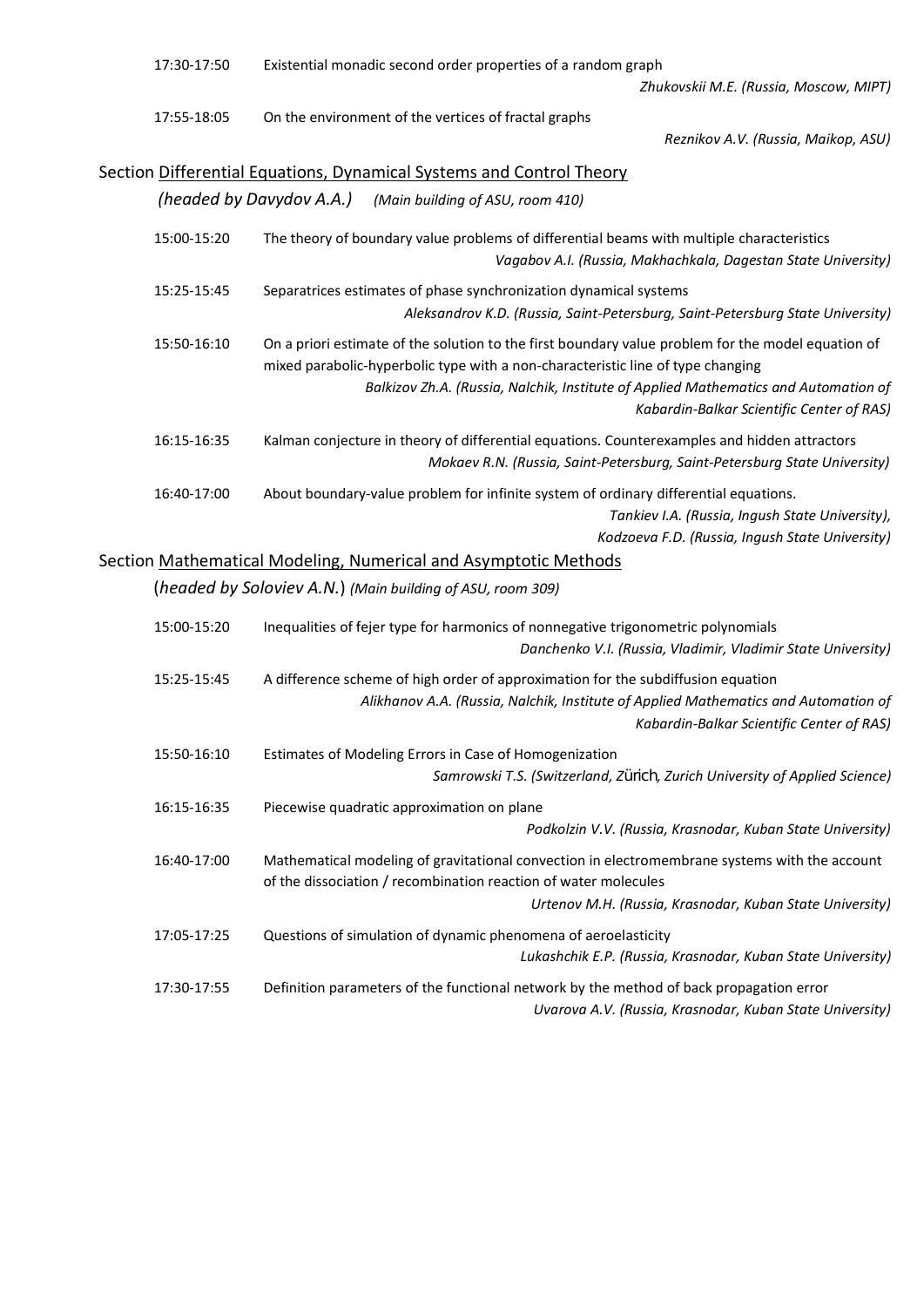| 17:30-17:50 | Existential monadic second order properties of a random graph<br>Zhukovskii M.E. (Russia, Moscow, MIPT)                                                                                                                                                                                                                   |
|-------------|---------------------------------------------------------------------------------------------------------------------------------------------------------------------------------------------------------------------------------------------------------------------------------------------------------------------------|
| 17:55-18:05 | On the environment of the vertices of fractal graphs<br>Reznikov A.V. (Russia, Maikop, ASU)                                                                                                                                                                                                                               |
|             | Section Differential Equations, Dynamical Systems and Control Theory                                                                                                                                                                                                                                                      |
|             | (headed by Davydov A.A.)<br>(Main building of ASU, room 410)                                                                                                                                                                                                                                                              |
| 15:00-15:20 | The theory of boundary value problems of differential beams with multiple characteristics<br>Vagabov A.I. (Russia, Makhachkala, Dagestan State University)                                                                                                                                                                |
| 15:25-15:45 | Separatrices estimates of phase synchronization dynamical systems<br>Aleksandrov K.D. (Russia, Saint-Petersburg, Saint-Petersburg State University)                                                                                                                                                                       |
| 15:50-16:10 | On a priori estimate of the solution to the first boundary value problem for the model equation of<br>mixed parabolic-hyperbolic type with a non-characteristic line of type changing<br>Balkizov Zh.A. (Russia, Nalchik, Institute of Applied Mathematics and Automation of<br>Kabardin-Balkar Scientific Center of RAS) |
| 16:15-16:35 | Kalman conjecture in theory of differential equations. Counterexamples and hidden attractors<br>Mokaev R.N. (Russia, Saint-Petersburg, Saint-Petersburg State University)                                                                                                                                                 |
| 16:40-17:00 | About boundary-value problem for infinite system of ordinary differential equations.<br>Tankiev I.A. (Russia, Ingush State University),<br>Kodzoeva F.D. (Russia, Ingush State University)                                                                                                                                |
|             | Section Mathematical Modeling, Numerical and Asymptotic Methods<br>(headed by Soloviev A.N.) (Main building of ASU, room 309)                                                                                                                                                                                             |
| 15:00-15:20 | Inequalities of fejer type for harmonics of nonnegative trigonometric polynomials<br>Danchenko V.I. (Russia, Vladimir, Vladimir State University)                                                                                                                                                                         |
| 15:25-15:45 | A difference scheme of high order of approximation for the subdiffusion equation<br>Alikhanov A.A. (Russia, Nalchik, Institute of Applied Mathematics and Automation of<br>Kabardin-Balkar Scientific Center of RAS)                                                                                                      |
| 15:50-16:10 | Estimates of Modeling Errors in Case of Homogenization<br>Samrowski T.S. (Switzerland, Zürich, Zurich University of Applied Science)                                                                                                                                                                                      |
| 16:15-16:35 | Piecewise quadratic approximation on plane<br>Podkolzin V.V. (Russia, Krasnodar, Kuban State University)                                                                                                                                                                                                                  |
| 16:40-17:00 | Mathematical modeling of gravitational convection in electromembrane systems with the account<br>of the dissociation / recombination reaction of water molecules<br>Urtenov M.H. (Russia, Krasnodar, Kuban State University)                                                                                              |
| 17:05-17:25 | Questions of simulation of dynamic phenomena of aeroelasticity<br>Lukashchik E.P. (Russia, Krasnodar, Kuban State University)                                                                                                                                                                                             |
| 17:30-17:55 | Definition parameters of the functional network by the method of back propagation error<br>Uvarova A.V. (Russia, Krasnodar, Kuban State University)                                                                                                                                                                       |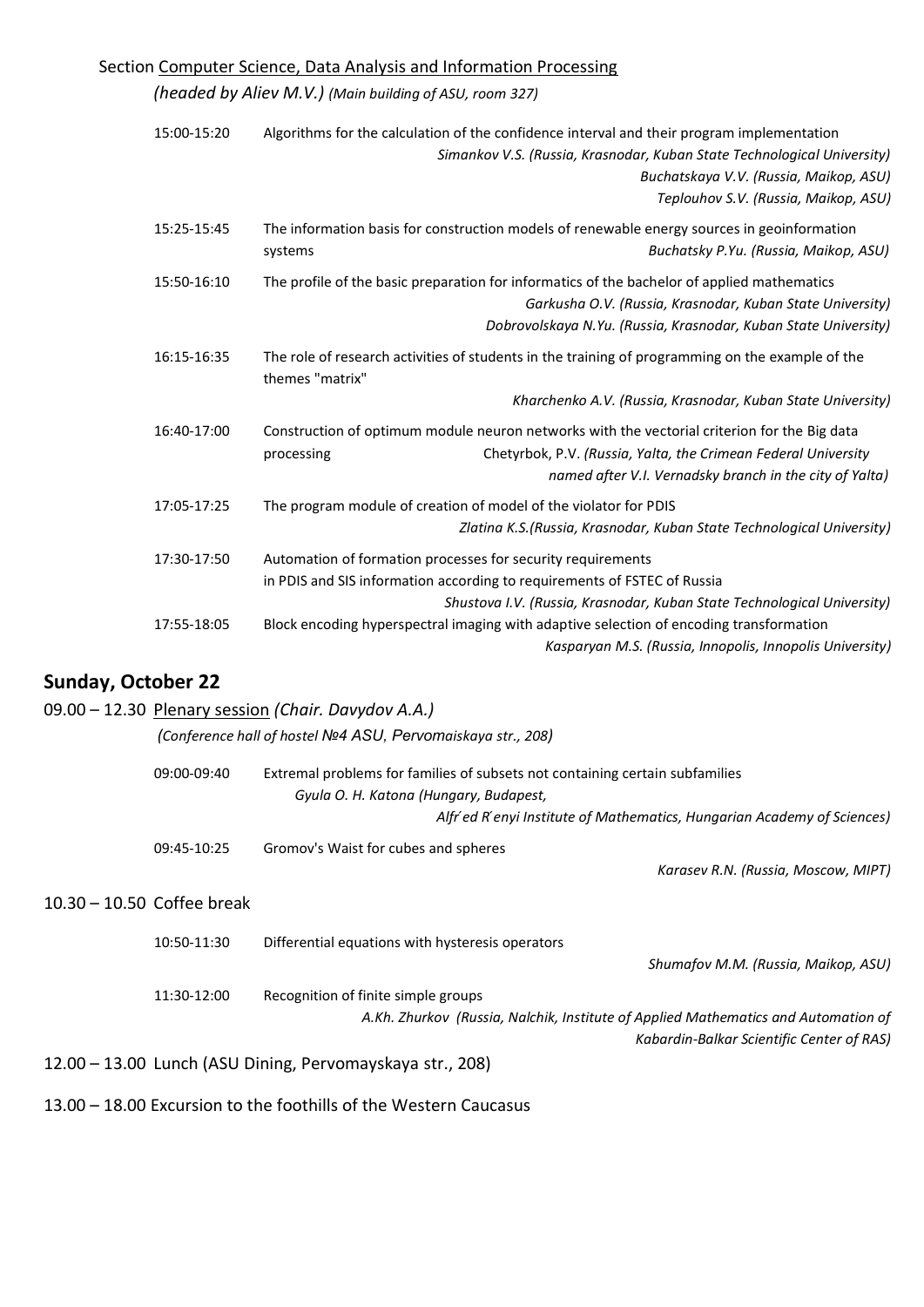## Section Computer Science, Data Analysis and Information Processing

*(headed by Aliev M.V.) (Main building of ASU, room 327)*

|                           | 15:00-15:20 | Algorithms for the calculation of the confidence interval and their program implementation<br>Simankov V.S. (Russia, Krasnodar, Kuban State Technological University)<br>Buchatskaya V.V. (Russia, Maikop, ASU)<br>Teplouhov S.V. (Russia, Maikop, ASU) |
|---------------------------|-------------|---------------------------------------------------------------------------------------------------------------------------------------------------------------------------------------------------------------------------------------------------------|
|                           | 15:25-15:45 | The information basis for construction models of renewable energy sources in geoinformation<br>Buchatsky P.Yu. (Russia, Maikop, ASU)<br>systems                                                                                                         |
|                           | 15:50-16:10 | The profile of the basic preparation for informatics of the bachelor of applied mathematics<br>Garkusha O.V. (Russia, Krasnodar, Kuban State University)<br>Dobrovolskaya N.Yu. (Russia, Krasnodar, Kuban State University)                             |
|                           | 16:15-16:35 | The role of research activities of students in the training of programming on the example of the<br>themes "matrix"                                                                                                                                     |
|                           |             | Kharchenko A.V. (Russia, Krasnodar, Kuban State University)                                                                                                                                                                                             |
|                           | 16:40-17:00 | Construction of optimum module neuron networks with the vectorial criterion for the Big data<br>Chetyrbok, P.V. (Russia, Yalta, the Crimean Federal University<br>processing<br>named after V.I. Vernadsky branch in the city of Yalta)                 |
|                           | 17:05-17:25 | The program module of creation of model of the violator for PDIS<br>Zlatina K.S.(Russia, Krasnodar, Kuban State Technological University)                                                                                                               |
|                           | 17:30-17:50 | Automation of formation processes for security requirements<br>in PDIS and SIS information according to requirements of FSTEC of Russia<br>Shustova I.V. (Russia, Krasnodar, Kuban State Technological University)                                      |
|                           | 17:55-18:05 | Block encoding hyperspectral imaging with adaptive selection of encoding transformation<br>Kasparyan M.S. (Russia, Innopolis, Innopolis University)                                                                                                     |
| <b>Sunday, October 22</b> |             |                                                                                                                                                                                                                                                         |
|                           |             | 09.00 - 12.30 Plenary session (Chair. Davydov A.A.)                                                                                                                                                                                                     |
|                           |             | (Conference hall of hostel Nº4 ASU, Pervomaiskaya str., 208)                                                                                                                                                                                            |
|                           | 09:00-09:40 | Extremal problems for families of subsets not containing certain subfamilies<br>Gyula O. H. Katona (Hungary, Budapest,<br>Alfr' ed R' enyi Institute of Mathematics, Hungarian Academy of Sciences)                                                     |
|                           |             |                                                                                                                                                                                                                                                         |

10.30 – 10.50 Coffee break

| 10:50-11:30 | Differential equations with hysteresis operators                                   |
|-------------|------------------------------------------------------------------------------------|
|             | Shumafov M.M. (Russia, Maikop, ASU)                                                |
| 11:30-12:00 | Recognition of finite simple groups                                                |
|             | A.Kh. Zhurkov (Russia, Nalchik, Institute of Applied Mathematics and Automation of |
|             | Kabardin-Balkar Scientific Center of RAS)                                          |
|             | 12.00 - 13.00 Lunch (ASU Dining, Pervomayskaya str., 208)                          |

*Karasev R.N. (Russia, Moscow, MIPT)* 

13.00 – 18.00 Excursion to the foothills of the Western Caucasus

09:45-10:25 Gromov's Waist for cubes and spheres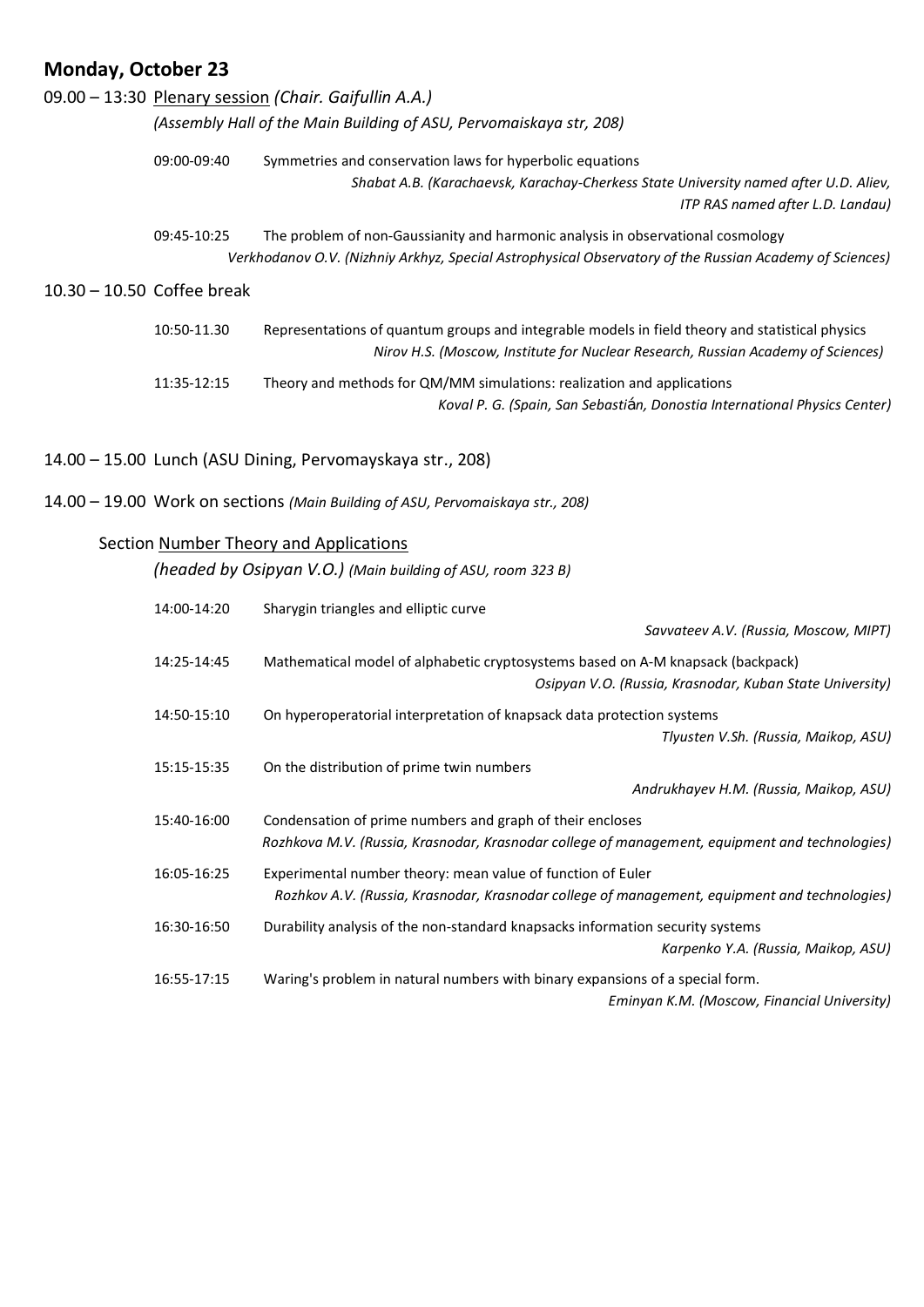# **Monday, October 23**

|                              |             | 09.00 - 13:30 Plenary session (Chair. Gaifullin A.A.)                                                                                                                                      |
|------------------------------|-------------|--------------------------------------------------------------------------------------------------------------------------------------------------------------------------------------------|
|                              |             | (Assembly Hall of the Main Building of ASU, Pervomaiskaya str, 208)                                                                                                                        |
|                              | 09:00-09:40 | Symmetries and conservation laws for hyperbolic equations<br>Shabat A.B. (Karachaevsk, Karachay-Cherkess State University named after U.D. Aliev,<br>ITP RAS named after L.D. Landau)      |
|                              | 09:45-10:25 | The problem of non-Gaussianity and harmonic analysis in observational cosmology<br>Verkhodanov O.V. (Nizhniy Arkhyz, Special Astrophysical Observatory of the Russian Academy of Sciences) |
| $10.30 - 10.50$ Coffee break |             |                                                                                                                                                                                            |
|                              | 10:50-11.30 | Representations of quantum groups and integrable models in field theory and statistical physics<br>Nirov H.S. (Moscow, Institute for Nuclear Research, Russian Academy of Sciences)        |
|                              | 11:35-12:15 | Theory and methods for QM/MM simulations: realization and applications<br>Koval P. G. (Spain, San Sebastián, Donostia International Physics Center)                                        |
|                              |             | 14.00 - 15.00 Lunch (ASU Dining, Pervomayskaya str., 208)                                                                                                                                  |
|                              |             | 14.00 - 19.00 Work on sections (Main Building of ASU, Pervomaiskaya str., 208)                                                                                                             |
|                              |             | Section Number Theory and Applications                                                                                                                                                     |
|                              |             | (headed by Osipyan V.O.) (Main building of ASU, room 323 B)                                                                                                                                |
|                              | 14:00-14:20 | Sharygin triangles and elliptic curve                                                                                                                                                      |
|                              |             | Savvateev A.V. (Russia, Moscow, MIPT)                                                                                                                                                      |
|                              | 14:25-14:45 | Mathematical model of alphabetic cryptosystems based on A-M knapsack (backpack)<br>Osipyan V.O. (Russia, Krasnodar, Kuban State University)                                                |
|                              | 14:50-15:10 | On hyperoperatorial interpretation of knapsack data protection systems<br>Tlyusten V.Sh. (Russia, Maikop, ASU)                                                                             |
|                              | 15:15-15:35 | On the distribution of prime twin numbers<br>Andrukhayev H.M. (Russia, Maikop, ASU)                                                                                                        |
|                              | 15:40-16:00 | Condensation of prime numbers and graph of their encloses<br>Rozhkova M.V. (Russia, Krasnodar, Krasnodar college of management, equipment and technologies)                                |
|                              | 16:05-16:25 | Experimental number theory: mean value of function of Euler<br>Rozhkov A.V. (Russia, Krasnodar, Krasnodar college of management, equipment and technologies)                               |
|                              | 16:30-16:50 | Durability analysis of the non-standard knapsacks information security systems<br>Karpenko Y.A. (Russia, Maikop, ASU)                                                                      |
|                              | 16:55-17:15 | Waring's problem in natural numbers with binary expansions of a special form.                                                                                                              |

*Eminyan K.M. (Moscow, Financial University)*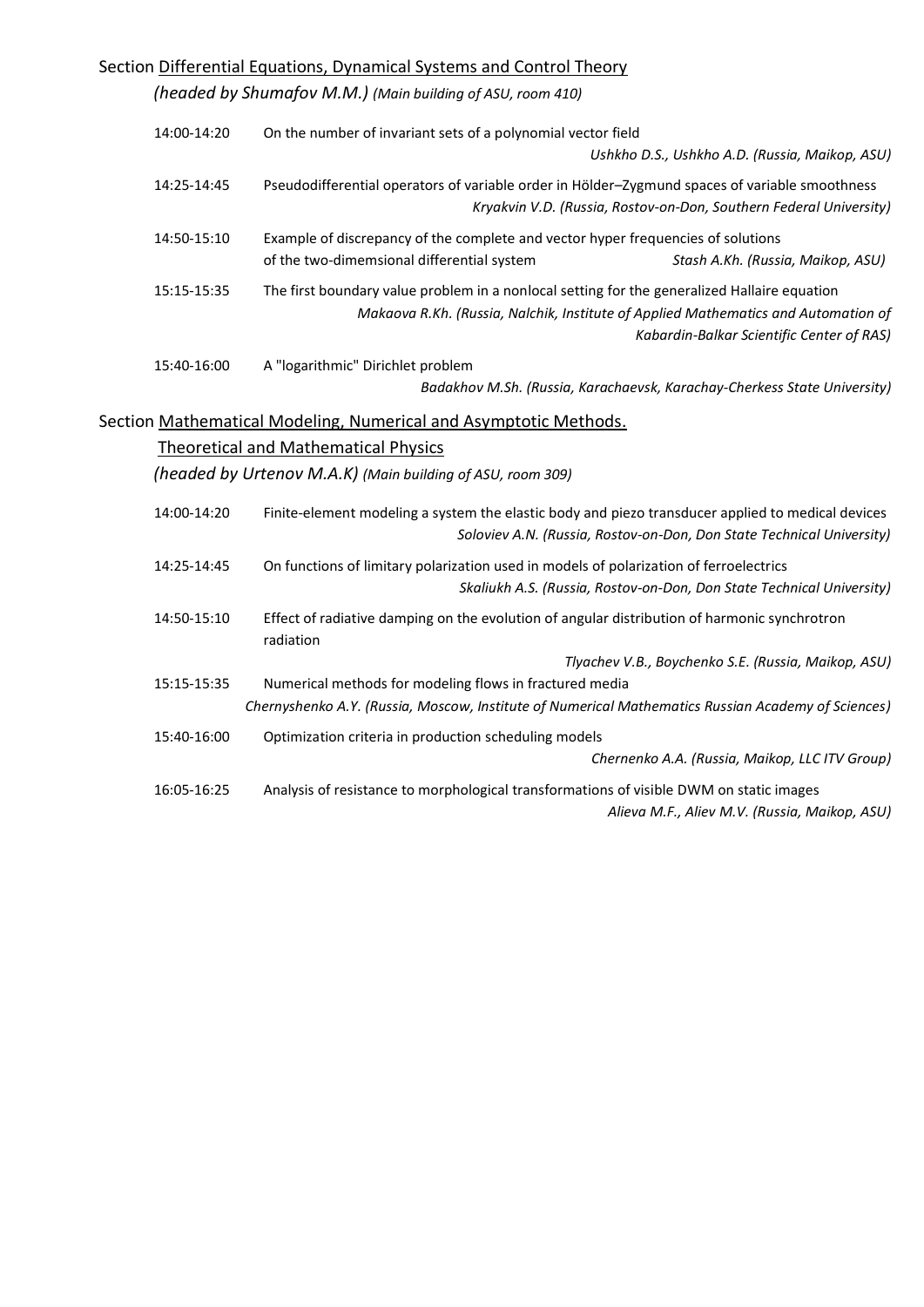| Section Differential Equations, Dynamical Systems and Control Theory |                                                                                                                                                                                                                                 |  |
|----------------------------------------------------------------------|---------------------------------------------------------------------------------------------------------------------------------------------------------------------------------------------------------------------------------|--|
|                                                                      | (headed by Shumafov M.M.) (Main building of ASU, room 410)                                                                                                                                                                      |  |
| 14:00-14:20                                                          | On the number of invariant sets of a polynomial vector field                                                                                                                                                                    |  |
|                                                                      | Ushkho D.S., Ushkho A.D. (Russia, Maikop, ASU)                                                                                                                                                                                  |  |
| 14:25-14:45                                                          | Pseudodifferential operators of variable order in Hölder-Zygmund spaces of variable smoothness<br>Kryakvin V.D. (Russia, Rostov-on-Don, Southern Federal University)                                                            |  |
| 14:50-15:10                                                          | Example of discrepancy of the complete and vector hyper frequencies of solutions<br>of the two-dimemsional differential system<br>Stash A.Kh. (Russia, Maikop, ASU)                                                             |  |
| 15:15-15:35                                                          | The first boundary value problem in a nonlocal setting for the generalized Hallaire equation<br>Makaova R.Kh. (Russia, Nalchik, Institute of Applied Mathematics and Automation of<br>Kabardin-Balkar Scientific Center of RAS) |  |
| 15:40-16:00                                                          | A "logarithmic" Dirichlet problem<br>Badakhov M.Sh. (Russia, Karachaevsk, Karachay-Cherkess State University)                                                                                                                   |  |
|                                                                      | Section Mathematical Modeling, Numerical and Asymptotic Methods.                                                                                                                                                                |  |
|                                                                      | <b>Theoretical and Mathematical Physics</b>                                                                                                                                                                                     |  |
|                                                                      | (headed by Urtenov M.A.K) (Main building of ASU, room 309)                                                                                                                                                                      |  |
| 14:00-14:20                                                          | Finite-element modeling a system the elastic body and piezo transducer applied to medical devices<br>Soloviev A.N. (Russia, Rostov-on-Don, Don State Technical University)                                                      |  |
| 14:25-14:45                                                          | On functions of limitary polarization used in models of polarization of ferroelectrics<br>Skaliukh A.S. (Russia, Rostov-on-Don, Don State Technical University)                                                                 |  |
| 14:50-15:10                                                          | Effect of radiative damping on the evolution of angular distribution of harmonic synchrotron<br>radiation                                                                                                                       |  |
| 15:15-15:35                                                          | Tlyachev V.B., Boychenko S.E. (Russia, Maikop, ASU)<br>Numerical methods for modeling flows in fractured media                                                                                                                  |  |
|                                                                      | Chernyshenko A.Y. (Russia, Moscow, Institute of Numerical Mathematics Russian Academy of Sciences)                                                                                                                              |  |
| 15:40-16:00                                                          | Optimization criteria in production scheduling models                                                                                                                                                                           |  |
|                                                                      | Chernenko A.A. (Russia, Maikop, LLC ITV Group)                                                                                                                                                                                  |  |
| 16:05-16:25                                                          | Analysis of resistance to morphological transformations of visible DWM on static images<br>Alieva M.F., Aliev M.V. (Russia, Maikop, ASU)                                                                                        |  |